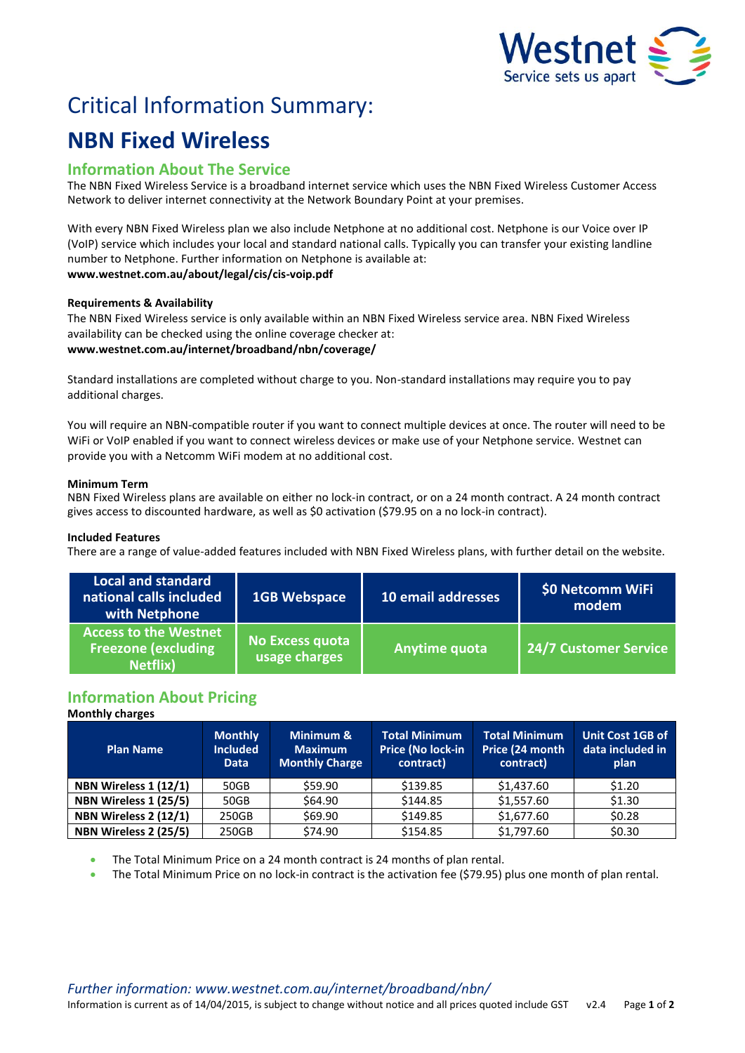

# Critical Information Summary:

# **NBN Fixed Wireless**

# **Information About The Service**

The NBN Fixed Wireless Service is a broadband internet service which uses the NBN Fixed Wireless Customer Access Network to deliver internet connectivity at the Network Boundary Point at your premises.

With every NBN Fixed Wireless plan we also include Netphone at no additional cost. Netphone is our Voice over IP (VoIP) service which includes your local and standard national calls. Typically you can transfer your existing landline number to Netphone. Further information on Netphone is available at: **www.westnet.com.au/about/legal/cis/cis-voip.pdf**

## **Requirements & Availability**

The NBN Fixed Wireless service is only available within an NBN Fixed Wireless service area. NBN Fixed Wireless availability can be checked using the online coverage checker at: **www.westnet.com.au/internet/broadband/nbn/coverage/**

Standard installations are completed without charge to you. Non-standard installations may require you to pay additional charges.

You will require an NBN-compatible router if you want to connect multiple devices at once. The router will need to be WiFi or VoIP enabled if you want to connect wireless devices or make use of your Netphone service. Westnet can provide you with a Netcomm WiFi modem at no additional cost.

## **Minimum Term**

NBN Fixed Wireless plans are available on either no lock-in contract, or on a 24 month contract. A 24 month contract gives access to discounted hardware, as well as \$0 activation (\$79.95 on a no lock-in contract).

## **Included Features**

There are a range of value-added features included with NBN Fixed Wireless plans, with further detail on the website.

| Local and standard<br>national calls included<br>with Netphone                 | <b>1GB Webspace</b>                     | 10 email addresses | \$0 Netcomm WiFi<br>modem |
|--------------------------------------------------------------------------------|-----------------------------------------|--------------------|---------------------------|
| <b>Access to the Westnet</b><br><b>Freezone (excluding</b><br><b>Netflix</b> ) | <b>No Excess quota</b><br>usage charges | Anytime quota      | 24/7 Customer Service     |

# **Information About Pricing**

## **Monthly charges**

| <b>Plan Name</b>      | <b>Monthly</b><br><b>Included</b><br><b>Data</b> | Minimum &<br><b>Maximum</b><br><b>Monthly Charge</b> | <b>Total Minimum</b><br>Price (No lock-in<br>contract) | <b>Total Minimum</b><br>Price (24 month<br>contract) | <b>Unit Cost 1GB of</b><br>data included in<br>plan |
|-----------------------|--------------------------------------------------|------------------------------------------------------|--------------------------------------------------------|------------------------------------------------------|-----------------------------------------------------|
| NBN Wireless 1 (12/1) | 50GB                                             | \$59.90                                              | \$139.85                                               | \$1,437.60                                           | \$1.20                                              |
| NBN Wireless 1 (25/5) | 50GB                                             | \$64.90                                              | \$144.85                                               | \$1,557.60                                           | \$1.30                                              |
| NBN Wireless 2 (12/1) | 250GB                                            | \$69.90                                              | \$149.85                                               | \$1,677.60                                           | \$0.28                                              |
| NBN Wireless 2 (25/5) | 250GB                                            | \$74.90                                              | \$154.85                                               | \$1,797.60                                           | \$0.30                                              |

The Total Minimum Price on a 24 month contract is 24 months of plan rental.

The Total Minimum Price on no lock-in contract is the activation fee (\$79.95) plus one month of plan rental.